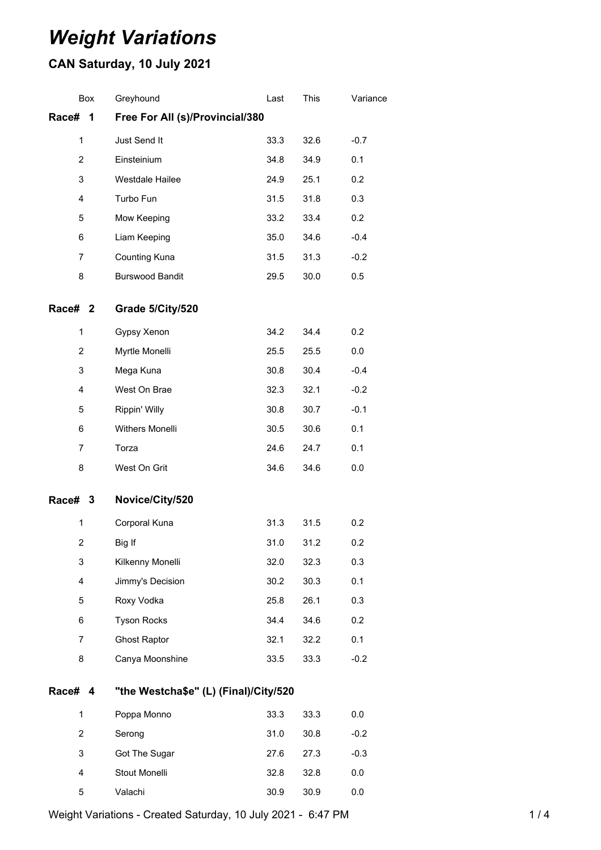# *Weight Variations*

## **CAN Saturday, 10 July 2021**

| <b>Box</b>     | Greyhound                             | Last | This | Variance |  |
|----------------|---------------------------------------|------|------|----------|--|
| Race#<br>1     | Free For All (s)/Provincial/380       |      |      |          |  |
| 1              | Just Send It                          | 33.3 | 32.6 | $-0.7$   |  |
| $\overline{2}$ | Einsteinium                           | 34.8 | 34.9 | 0.1      |  |
| 3              | Westdale Hailee                       | 24.9 | 25.1 | 0.2      |  |
| 4              | Turbo Fun                             | 31.5 | 31.8 | 0.3      |  |
| 5              | Mow Keeping                           | 33.2 | 33.4 | 0.2      |  |
| 6              | Liam Keeping                          | 35.0 | 34.6 | $-0.4$   |  |
| 7              | Counting Kuna                         | 31.5 | 31.3 | $-0.2$   |  |
| 8              | <b>Burswood Bandit</b>                | 29.5 | 30.0 | 0.5      |  |
| Race# 2        | Grade 5/City/520                      |      |      |          |  |
| 1              | Gypsy Xenon                           | 34.2 | 34.4 | 0.2      |  |
| 2              | Myrtle Monelli                        | 25.5 | 25.5 | 0.0      |  |
| 3              | Mega Kuna                             | 30.8 | 30.4 | $-0.4$   |  |
| 4              | West On Brae                          | 32.3 | 32.1 | $-0.2$   |  |
| 5              | Rippin' Willy                         | 30.8 | 30.7 | $-0.1$   |  |
| 6              | Withers Monelli                       | 30.5 | 30.6 | 0.1      |  |
| 7              | Torza                                 | 24.6 | 24.7 | 0.1      |  |
| 8              | West On Grit                          | 34.6 | 34.6 | 0.0      |  |
| Race# 3        | Novice/City/520                       |      |      |          |  |
| 1              | Corporal Kuna                         | 31.3 | 31.5 | 0.2      |  |
| $\overline{2}$ | Big If                                | 31.0 | 31.2 | 0.2      |  |
| 3              | Kilkenny Monelli                      | 32.0 | 32.3 | 0.3      |  |
| 4              | Jimmy's Decision                      | 30.2 | 30.3 | 0.1      |  |
| 5              | Roxy Vodka                            | 25.8 | 26.1 | 0.3      |  |
| 6              | <b>Tyson Rocks</b>                    | 34.4 | 34.6 | 0.2      |  |
| $\overline{7}$ | <b>Ghost Raptor</b>                   | 32.1 | 32.2 | 0.1      |  |
| 8              | Canya Moonshine                       | 33.5 | 33.3 | $-0.2$   |  |
| Race# 4        | "the Westcha\$e" (L) (Final)/City/520 |      |      |          |  |
| 1              | Poppa Monno                           | 33.3 | 33.3 | 0.0      |  |
| $\overline{2}$ | Serong                                | 31.0 | 30.8 | $-0.2$   |  |
| 3              | Got The Sugar                         | 27.6 | 27.3 | $-0.3$   |  |
| 4              | Stout Monelli                         | 32.8 | 32.8 | 0.0      |  |
| 5              | Valachi                               | 30.9 | 30.9 | 0.0      |  |

Weight Variations - Created Saturday, 10 July 2021 - 6:47 PM 1 14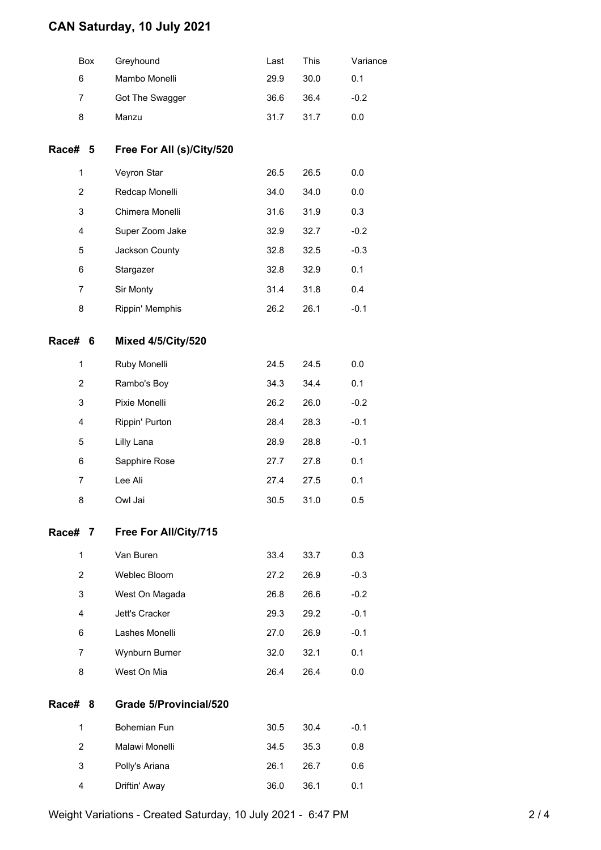### **CAN Saturday, 10 July 2021**

|                | Box | Greyhound                 | Last | This | Variance |
|----------------|-----|---------------------------|------|------|----------|
| 6              |     | Mambo Monelli             | 29.9 | 30.0 | 0.1      |
| 7              |     | Got The Swagger           | 36.6 | 36.4 | $-0.2$   |
| 8              |     | Manzu                     | 31.7 | 31.7 | 0.0      |
| Race# 5        |     | Free For All (s)/City/520 |      |      |          |
| 1              |     | Veyron Star               | 26.5 | 26.5 | 0.0      |
| $\overline{2}$ |     | Redcap Monelli            | 34.0 | 34.0 | 0.0      |
| 3              |     | Chimera Monelli           | 31.6 | 31.9 | 0.3      |
| 4              |     | Super Zoom Jake           | 32.9 | 32.7 | $-0.2$   |
| 5              |     | Jackson County            | 32.8 | 32.5 | $-0.3$   |
| 6              |     | Stargazer                 | 32.8 | 32.9 | 0.1      |
| 7              |     | Sir Monty                 | 31.4 | 31.8 | 0.4      |
| 8              |     | Rippin' Memphis           | 26.2 | 26.1 | $-0.1$   |
| <b>Race#</b>   | 6   | <b>Mixed 4/5/City/520</b> |      |      |          |
| 1              |     | Ruby Monelli              | 24.5 | 24.5 | 0.0      |
| $\overline{2}$ |     | Rambo's Boy               | 34.3 | 34.4 | 0.1      |
| 3              |     | Pixie Monelli             | 26.2 | 26.0 | $-0.2$   |
| 4              |     | Rippin' Purton            | 28.4 | 28.3 | $-0.1$   |
| 5              |     | Lilly Lana                | 28.9 | 28.8 | $-0.1$   |
| 6              |     | Sapphire Rose             | 27.7 | 27.8 | 0.1      |
| $\overline{7}$ |     | Lee Ali                   | 27.4 | 27.5 | 0.1      |
| 8              |     | Owl Jai                   | 30.5 | 31.0 | 0.5      |
| Race# 7        |     | Free For All/City/715     |      |      |          |
| $\mathbf{1}$   |     | Van Buren                 | 33.4 | 33.7 | 0.3      |
| 2              |     | Weblec Bloom              | 27.2 | 26.9 | $-0.3$   |
| 3              |     | West On Magada            | 26.8 | 26.6 | $-0.2$   |
| 4              |     | Jett's Cracker            | 29.3 | 29.2 | $-0.1$   |
| 6              |     | Lashes Monelli            | 27.0 | 26.9 | $-0.1$   |
| 7              |     | Wynburn Burner            | 32.0 | 32.1 | 0.1      |
| 8              |     | West On Mia               | 26.4 | 26.4 | 0.0      |
| <b>Race#</b>   | 8   | Grade 5/Provincial/520    |      |      |          |
| $\mathbf{1}$   |     | Bohemian Fun              | 30.5 | 30.4 | $-0.1$   |
| $\overline{2}$ |     | Malawi Monelli            | 34.5 | 35.3 | 0.8      |
| 3              |     | Polly's Ariana            | 26.1 | 26.7 | 0.6      |
| 4              |     | Driftin' Away             | 36.0 | 36.1 | 0.1      |

Weight Variations - Created Saturday, 10 July 2021 - 6:47 PM 2/4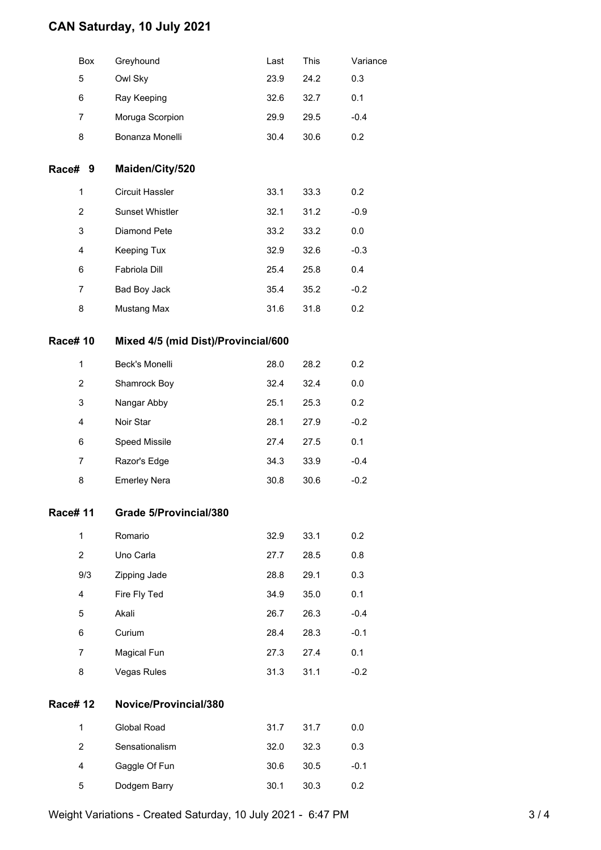### **CAN Saturday, 10 July 2021**

|                | Box            | Greyhound                           | Last | This | Variance |  |  |
|----------------|----------------|-------------------------------------|------|------|----------|--|--|
|                | 5              | Owl Sky                             | 23.9 | 24.2 | 0.3      |  |  |
|                | 6              | Ray Keeping                         | 32.6 | 32.7 | 0.1      |  |  |
|                | 7              | Moruga Scorpion                     | 29.9 | 29.5 | $-0.4$   |  |  |
|                | 8              | Bonanza Monelli                     | 30.4 | 30.6 | 0.2      |  |  |
| Race#          | 9              | Maiden/City/520                     |      |      |          |  |  |
|                | 1              | Circuit Hassler                     | 33.1 | 33.3 | 0.2      |  |  |
|                | $\overline{2}$ | Sunset Whistler                     | 32.1 | 31.2 | $-0.9$   |  |  |
|                | 3              | Diamond Pete                        | 33.2 | 33.2 | 0.0      |  |  |
|                | 4              | Keeping Tux                         | 32.9 | 32.6 | $-0.3$   |  |  |
|                | 6              | Fabriola Dill                       | 25.4 | 25.8 | 0.4      |  |  |
|                | 7              | Bad Boy Jack                        | 35.4 | 35.2 | $-0.2$   |  |  |
|                | 8              | Mustang Max                         | 31.6 | 31.8 | 0.2      |  |  |
| <b>Race#10</b> |                | Mixed 4/5 (mid Dist)/Provincial/600 |      |      |          |  |  |
|                | $\mathbf{1}$   | Beck's Monelli                      | 28.0 | 28.2 | 0.2      |  |  |
|                | $\overline{2}$ | Shamrock Boy                        | 32.4 | 32.4 | 0.0      |  |  |
|                | 3              | Nangar Abby                         | 25.1 | 25.3 | 0.2      |  |  |
|                | 4              | Noir Star                           | 28.1 | 27.9 | $-0.2$   |  |  |
|                | 6              | Speed Missile                       | 27.4 | 27.5 | 0.1      |  |  |
|                | 7              | Razor's Edge                        | 34.3 | 33.9 | $-0.4$   |  |  |
|                | 8              | <b>Emerley Nera</b>                 | 30.8 | 30.6 | $-0.2$   |  |  |
| Race# 11       |                | Grade 5/Provincial/380              |      |      |          |  |  |
|                | $\mathbf{1}$   | Romario                             | 32.9 | 33.1 | 0.2      |  |  |
|                | $\overline{c}$ | Uno Carla                           | 27.7 | 28.5 | 0.8      |  |  |
|                | 9/3            | Zipping Jade                        | 28.8 | 29.1 | 0.3      |  |  |
|                | 4              | Fire Fly Ted                        | 34.9 | 35.0 | 0.1      |  |  |
|                | 5              | Akali                               | 26.7 | 26.3 | $-0.4$   |  |  |
|                | 6              | Curium                              | 28.4 | 28.3 | $-0.1$   |  |  |
|                | 7              | Magical Fun                         | 27.3 | 27.4 | 0.1      |  |  |
|                | 8              | <b>Vegas Rules</b>                  | 31.3 | 31.1 | $-0.2$   |  |  |
| <b>Race#12</b> |                | Novice/Provincial/380               |      |      |          |  |  |
|                | $\mathbf{1}$   | Global Road                         | 31.7 | 31.7 | 0.0      |  |  |
|                | $\overline{2}$ | Sensationalism                      | 32.0 | 32.3 | 0.3      |  |  |
|                | 4              | Gaggle Of Fun                       | 30.6 | 30.5 | $-0.1$   |  |  |
|                | 5              | Dodgem Barry                        | 30.1 | 30.3 | 0.2      |  |  |